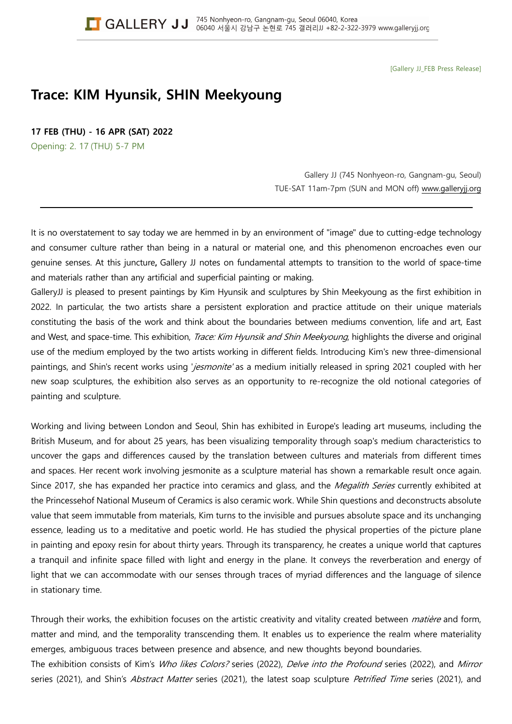[Gallery JJ\_FEB Press Release]

# **Trace: KIM Hyunsik, SHIN Meekyoung**

**17 FEB (THU) - 16 APR (SAT) 2022**

Opening: 2. 17 (THU) 5-7 PM

Gallery JJ (745 Nonhyeon-ro, Gangnam-gu, Seoul) TUE-SAT 11am-7pm (SUN and MON off) www.galleryjj.org

It is no overstatement to say today we are hemmed in by an environment of "image" due to cutting-edge technology and consumer culture rather than being in a natural or material one, and this phenomenon encroaches even our genuine senses. At this juncture**,** Gallery JJ notes on fundamental attempts to transition to the world of space-time and materials rather than any artificial and superficial painting or making.

GalleryJJ is pleased to present paintings by Kim Hyunsik and sculptures by Shin Meekyoung as the first exhibition in 2022. In particular, the two artists share a persistent exploration and practice attitude on their unique materials constituting the basis of the work and think about the boundaries between mediums convention, life and art, East and West, and space-time. This exhibition, Trace: Kim Hyunsik and Shin Meekyoung, highlights the diverse and original use of the medium employed by the two artists working in different fields. Introducing Kim's new three-dimensional paintings, and Shin's recent works using 'jesmonite' as a medium initially released in spring 2021 coupled with her new soap sculptures, the exhibition also serves as an opportunity to re-recognize the old notional categories of painting and sculpture.

Working and living between London and Seoul, Shin has exhibited in Europe's leading art museums, including the British Museum, and for about 25 years, has been visualizing temporality through soap's medium characteristics to uncover the gaps and differences caused by the translation between cultures and materials from different times and spaces. Her recent work involving jesmonite as a sculpture material has shown a remarkable result once again. Since 2017, she has expanded her practice into ceramics and glass, and the Megalith Series currently exhibited at the Princessehof National Museum of Ceramics is also ceramic work. While Shin questions and deconstructs absolute value that seem immutable from materials, Kim turns to the invisible and pursues absolute space and its unchanging essence, leading us to a meditative and poetic world. He has studied the physical properties of the picture plane in painting and epoxy resin for about thirty years. Through its transparency, he creates a unique world that captures a tranquil and infinite space filled with light and energy in the plane. It conveys the reverberation and energy of light that we can accommodate with our senses through traces of myriad differences and the language of silence in stationary time.

Through their works, the exhibition focuses on the artistic creativity and vitality created between *matière* and form, matter and mind, and the temporality transcending them. It enables us to experience the realm where materiality emerges, ambiguous traces between presence and absence, and new thoughts beyond boundaries.

The exhibition consists of Kim's Who likes Colors? series (2022), Delve into the Profound series (2022), and Mirror series (2021), and Shin's Abstract Matter series (2021), the latest soap sculpture Petrified Time series (2021), and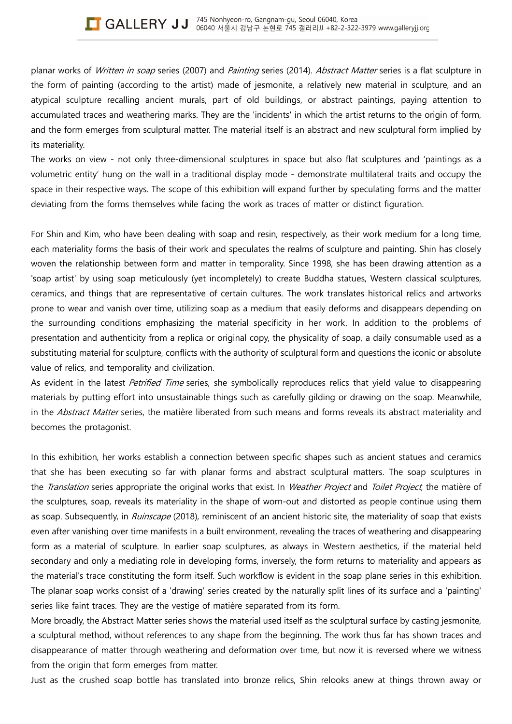planar works of Written in soap series (2007) and Painting series (2014). Abstract Matter series is a flat sculpture in the form of painting (according to the artist) made of jesmonite, a relatively new material in sculpture, and an atypical sculpture recalling ancient murals, part of old buildings, or abstract paintings, paying attention to accumulated traces and weathering marks. They are the 'incidents' in which the artist returns to the origin of form, and the form emerges from sculptural matter. The material itself is an abstract and new sculptural form implied by its materiality.

The works on view - not only three-dimensional sculptures in space but also flat sculptures and 'paintings as a volumetric entity' hung on the wall in a traditional display mode - demonstrate multilateral traits and occupy the space in their respective ways. The scope of this exhibition will expand further by speculating forms and the matter deviating from the forms themselves while facing the work as traces of matter or distinct figuration.

For Shin and Kim, who have been dealing with soap and resin, respectively, as their work medium for a long time, each materiality forms the basis of their work and speculates the realms of sculpture and painting. Shin has closely woven the relationship between form and matter in temporality. Since 1998, she has been drawing attention as a 'soap artist' by using soap meticulously (yet incompletely) to create Buddha statues, Western classical sculptures, ceramics, and things that are representative of certain cultures. The work translates historical relics and artworks prone to wear and vanish over time, utilizing soap as a medium that easily deforms and disappears depending on the surrounding conditions emphasizing the material specificity in her work. In addition to the problems of presentation and authenticity from a replica or original copy, the physicality of soap, a daily consumable used as a substituting material for sculpture, conflicts with the authority of sculptural form and questions the iconic or absolute value of relics, and temporality and civilization.

As evident in the latest *Petrified Time* series, she symbolically reproduces relics that yield value to disappearing materials by putting effort into unsustainable things such as carefully gilding or drawing on the soap. Meanwhile, in the Abstract Matter series, the matière liberated from such means and forms reveals its abstract materiality and becomes the protagonist.

In this exhibition, her works establish a connection between specific shapes such as ancient statues and ceramics that she has been executing so far with planar forms and abstract sculptural matters. The soap sculptures in the Translation series appropriate the original works that exist. In Weather Project and Toilet Project, the matière of the sculptures, soap, reveals its materiality in the shape of worn-out and distorted as people continue using them as soap. Subsequently, in Ruinscape (2018), reminiscent of an ancient historic site, the materiality of soap that exists even after vanishing over time manifests in a built environment, revealing the traces of weathering and disappearing form as a material of sculpture. In earlier soap sculptures, as always in Western aesthetics, if the material held secondary and only a mediating role in developing forms, inversely, the form returns to materiality and appears as the material's trace constituting the form itself. Such workflow is evident in the soap plane series in this exhibition. The planar soap works consist of a 'drawing' series created by the naturally split lines of its surface and a 'painting' series like faint traces. They are the vestige of matière separated from its form.

More broadly, the Abstract Matter series shows the material used itself as the sculptural surface by casting jesmonite, a sculptural method, without references to any shape from the beginning. The work thus far has shown traces and disappearance of matter through weathering and deformation over time, but now it is reversed where we witness from the origin that form emerges from matter.

Just as the crushed soap bottle has translated into bronze relics, Shin relooks anew at things thrown away or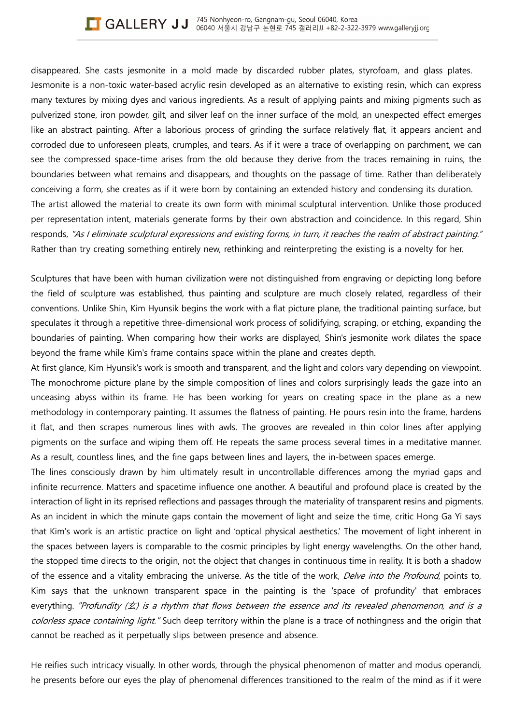disappeared. She casts jesmonite in a mold made by discarded rubber plates, styrofoam, and glass plates. Jesmonite is a non-toxic water-based acrylic resin developed as an alternative to existing resin, which can express many textures by mixing dyes and various ingredients. As a result of applying paints and mixing pigments such as pulverized stone, iron powder, gilt, and silver leaf on the inner surface of the mold, an unexpected effect emerges like an abstract painting. After a laborious process of grinding the surface relatively flat, it appears ancient and corroded due to unforeseen pleats, crumples, and tears. As if it were a trace of overlapping on parchment, we can see the compressed space-time arises from the old because they derive from the traces remaining in ruins, the boundaries between what remains and disappears, and thoughts on the passage of time. Rather than deliberately conceiving a form, she creates as if it were born by containing an extended history and condensing its duration. The artist allowed the material to create its own form with minimal sculptural intervention. Unlike those produced per representation intent, materials generate forms by their own abstraction and coincidence. In this regard, Shin responds, "As I eliminate sculptural expressions and existing forms, in turn, it reaches the realm of abstract painting." Rather than try creating something entirely new, rethinking and reinterpreting the existing is a novelty for her.

Sculptures that have been with human civilization were not distinguished from engraving or depicting long before the field of sculpture was established, thus painting and sculpture are much closely related, regardless of their conventions. Unlike Shin, Kim Hyunsik begins the work with a flat picture plane, the traditional painting surface, but speculates it through a repetitive three-dimensional work process of solidifying, scraping, or etching, expanding the boundaries of painting. When comparing how their works are displayed, Shin's jesmonite work dilates the space beyond the frame while Kim's frame contains space within the plane and creates depth.

At first glance, Kim Hyunsik's work is smooth and transparent, and the light and colors vary depending on viewpoint. The monochrome picture plane by the simple composition of lines and colors surprisingly leads the gaze into an unceasing abyss within its frame. He has been working for years on creating space in the plane as a new methodology in contemporary painting. It assumes the flatness of painting. He pours resin into the frame, hardens it flat, and then scrapes numerous lines with awls. The grooves are revealed in thin color lines after applying pigments on the surface and wiping them off. He repeats the same process several times in a meditative manner. As a result, countless lines, and the fine gaps between lines and layers, the in-between spaces emerge.

The lines consciously drawn by him ultimately result in uncontrollable differences among the myriad gaps and infinite recurrence. Matters and spacetime influence one another. A beautiful and profound place is created by the interaction of light in its reprised reflections and passages through the materiality of transparent resins and pigments. As an incident in which the minute gaps contain the movement of light and seize the time, critic Hong Ga Yi says that Kim's work is an artistic practice on light and 'optical physical aesthetics.' The movement of light inherent in the spaces between layers is comparable to the cosmic principles by light energy wavelengths. On the other hand, the stopped time directs to the origin, not the object that changes in continuous time in reality. It is both a shadow of the essence and a vitality embracing the universe. As the title of the work, Delve into the Profound, points to, Kim says that the unknown transparent space in the painting is the 'space of profundity' that embraces everything. "Profundity  $(\nleq)$  is a rhythm that flows between the essence and its revealed phenomenon, and is a colorless space containing light." Such deep territory within the plane is a trace of nothingness and the origin that cannot be reached as it perpetually slips between presence and absence.

He reifies such intricacy visually. In other words, through the physical phenomenon of matter and modus operandi, he presents before our eyes the play of phenomenal differences transitioned to the realm of the mind as if it were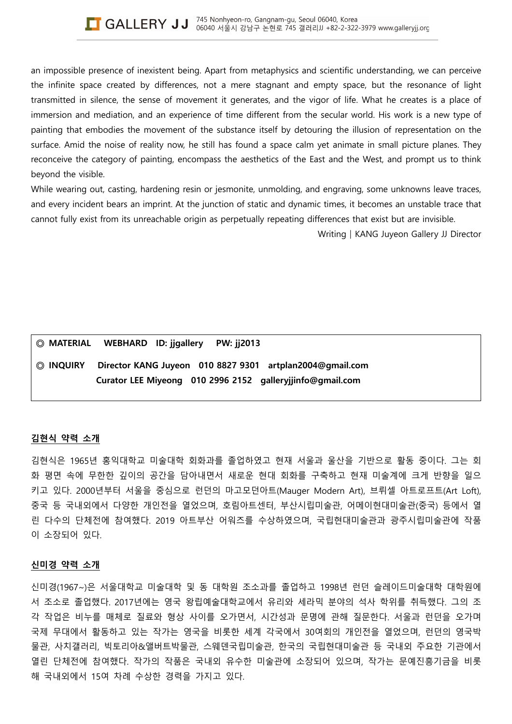an impossible presence of inexistent being. Apart from metaphysics and scientific understanding, we can perceive the infinite space created by differences, not a mere stagnant and empty space, but the resonance of light transmitted in silence, the sense of movement it generates, and the vigor of life. What he creates is a place of immersion and mediation, and an experience of time different from the secular world. His work is a new type of painting that embodies the movement of the substance itself by detouring the illusion of representation on the surface. Amid the noise of reality now, he still has found a space calm yet animate in small picture planes. They reconceive the category of painting, encompass the aesthetics of the East and the West, and prompt us to think beyond the visible.

While wearing out, casting, hardening resin or jesmonite, unmolding, and engraving, some unknowns leave traces, and every incident bears an imprint. At the junction of static and dynamic times, it becomes an unstable trace that cannot fully exist from its unreachable origin as perpetually repeating differences that exist but are invisible.

Writing | KANG Juyeon Gallery JJ Director

|           | © MATERIAL WEBHARD ID: jigallery PW: jj2013 |                                                                                                                       |  |
|-----------|---------------------------------------------|-----------------------------------------------------------------------------------------------------------------------|--|
| © Inquiry |                                             | Director KANG Juyeon 010 8827 9301 artplan2004@gmail.com<br>Curator LEE Miyeong 010 2996 2152 galleryjjinfo@gmail.com |  |
|           |                                             |                                                                                                                       |  |

## **김현식 약력 소개**

김현식은 1965년 홍익대학교 미술대학 회화과를 졸업하였고 현재 서울과 울산을 기반으로 활동 중이다. 그는 회 화 평면 속에 무한한 깊이의 공간을 담아내면서 새로운 현대 회화를 구축하고 현재 미술계에 크게 반향을 일으 키고 있다. 2000년부터 서울을 중심으로 런던의 마고모던아트(Mauger Modern Art), 브뤼셀 아트로프트(Art Loft), 중국 등 국내외에서 다양한 개인전을 열었으며, 호림아트센터, 부산시립미술관, 어메이현대미술관(중국) 등에서 열 린 다수의 단체전에 참여했다. 2019 아트부산 어워즈를 수상하였으며, 국립현대미술관과 광주시립미술관에 작품 이 소장되어 있다.

#### **신미경 약력 소개**

신미경(1967~)은 서울대학교 미술대학 및 동 대학원 조소과를 졸업하고 1998년 런던 슬레이드미술대학 대학원에 서 조소로 졸업했다. 2017년에는 영국 왕립예술대학교에서 유리와 세라믹 분야의 석사 학위를 취득했다. 그의 조 각 작업은 비누를 매체로 질료와 형상 사이를 오가면서, 시간성과 문명에 관해 질문한다. 서울과 런던을 오가며 국제 무대에서 활동하고 있는 작가는 영국을 비롯한 세계 각국에서 30여회의 개인전을 열었으며, 런던의 영국박 물관, 사치갤러리, 빅토리아&앨버트박물관, 스웨덴국립미술관, 한국의 국립현대미술관 등 국내외 주요한 기관에서 열린 단체전에 참여했다. 작가의 작품은 국내외 유수한 미술관에 소장되어 있으며, 작가는 문예진흥기금을 비롯 해 국내외에서 15여 차례 수상한 경력을 가지고 있다.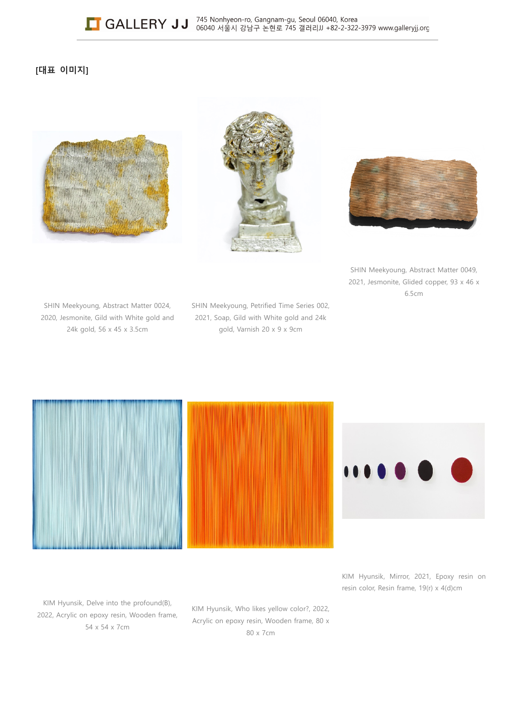# **[대표 이미지]**







SHIN Meekyoung, Abstract Matter 0049, 2021, Jesmonite, Glided copper, 93 x 46 x 6.5cm

SHIN Meekyoung, Abstract Matter 0024, 2020, Jesmonite, Gild with White gold and 24k gold, 56 x 45 x 3.5cm

SHIN Meekyoung, Petrified Time Series 002, 2021, Soap, Gild with White gold and 24k gold, Varnish 20 x 9 x 9cm



KIM Hyunsik, Mirror, 2021, Epoxy resin on resin color, Resin frame, 19(r) x 4(d)cm

KIM Hyunsik, Delve into the profound(B), 2022, Acrylic on epoxy resin, Wooden frame, 54 x 54 x 7cm

KIM Hyunsik, Who likes yellow color?, 2022, Acrylic on epoxy resin, Wooden frame, 80 x 80 x 7cm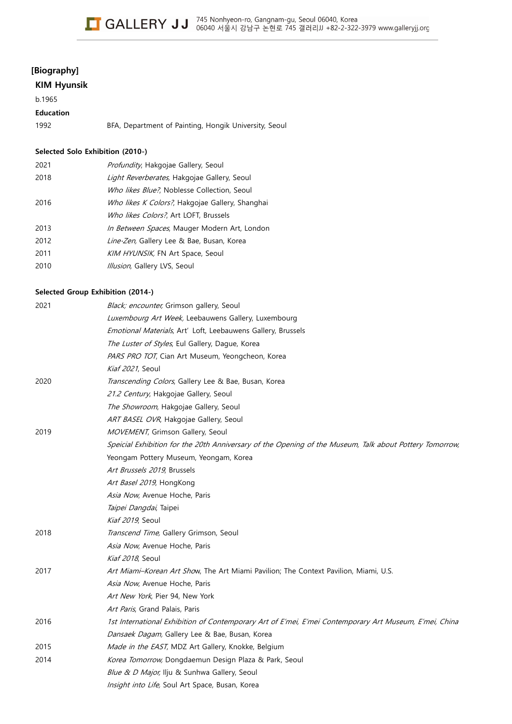# **[Biography]**

# **KIM Hyunsik**

b.1965

# **Education**

| 1992 | BFA, Department of Painting, Hongik University, Seoul |  |  |
|------|-------------------------------------------------------|--|--|
|      |                                                       |  |  |
|      |                                                       |  |  |

## **Selected Solo Exhibition (2010-)**

| 2021 | Profundity, Hakgojae Gallery, Seoul                  |
|------|------------------------------------------------------|
| 2018 | Light Reverberates, Hakgojae Gallery, Seoul          |
|      | Who likes Blue?, Noblesse Collection, Seoul          |
| 2016 | Who likes K Colors?, Hakgojae Gallery, Shanghai      |
|      | Who likes Colors?, Art LOFT, Brussels                |
| 2013 | <i>In Between Spaces</i> , Mauger Modern Art, London |
| 2012 | Line-Zen, Gallery Lee & Bae, Busan, Korea            |
| 2011 | KIM HYUNSIK, FN Art Space, Seoul                     |
| 2010 | Illusion, Gallery LVS, Seoul                         |

## **Selected Group Exhibition (2014-)**

| 2021 | Black; encounter, Grimson gallery, Seoul                                                                |  |
|------|---------------------------------------------------------------------------------------------------------|--|
|      | Luxembourg Art Week, Leebauwens Gallery, Luxembourg                                                     |  |
|      | Emotional Materials, Art' Loft, Leebauwens Gallery, Brussels                                            |  |
|      | The Luster of Styles, Eul Gallery, Dague, Korea                                                         |  |
|      | PARS PRO TOT, Cian Art Museum, Yeongcheon, Korea                                                        |  |
|      | Kiaf 2021, Seoul                                                                                        |  |
| 2020 | Transcending Colors, Gallery Lee & Bae, Busan, Korea                                                    |  |
|      | 21.2 Century, Hakgojae Gallery, Seoul                                                                   |  |
|      | The Showroom, Hakgojae Gallery, Seoul                                                                   |  |
|      | ART BASEL OVR, Hakgojae Gallery, Seoul                                                                  |  |
| 2019 | MOVEMENT, Grimson Gallery, Seoul                                                                        |  |
|      | Speicial Exhibition for the 20th Anniversary of the Opening of the Museum, Talk about Pottery Tomorrow, |  |
|      | Yeongam Pottery Museum, Yeongam, Korea                                                                  |  |
|      | Art Brussels 2019, Brussels                                                                             |  |
|      | Art Basel 2019, HongKong                                                                                |  |
|      | Asia Now, Avenue Hoche, Paris                                                                           |  |
|      | Taipei Dangdai, Taipei                                                                                  |  |
|      | Kiaf 2019, Seoul                                                                                        |  |
| 2018 | Transcend Time, Gallery Grimson, Seoul                                                                  |  |
|      | Asia Now, Avenue Hoche, Paris                                                                           |  |
|      | Kiaf 2018, Seoul                                                                                        |  |
| 2017 | Art Miami-Korean Art Show, The Art Miami Pavilion; The Context Pavilion, Miami, U.S.                    |  |
|      | Asia Now, Avenue Hoche, Paris                                                                           |  |
|      | Art New York, Pier 94, New York                                                                         |  |
|      | Art Paris, Grand Palais, Paris                                                                          |  |
| 2016 | 1st International Exhibition of Contemporary Art of E'mei, E'mei Contemporary Art Museum, E'mei, China  |  |
|      | Dansaek Dagam, Gallery Lee & Bae, Busan, Korea                                                          |  |
| 2015 | Made in the EAST, MDZ Art Gallery, Knokke, Belgium                                                      |  |
| 2014 | Korea Tomorrow, Dongdaemun Design Plaza & Park, Seoul                                                   |  |
|      | Blue & D Major, Ilju & Sunhwa Gallery, Seoul                                                            |  |
|      | Insight into Life, Soul Art Space, Busan, Korea                                                         |  |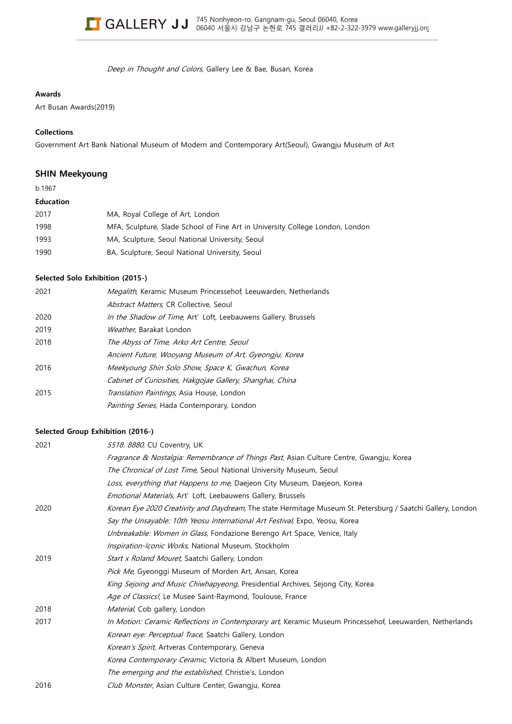

Deep in Thought and Colors, Gallery Lee & Bae, Busan, Korea

#### **Awards**

Art Busan Awards(2019)

#### **Collections**

Government Art Bank National Museum of Modern and Contemporary Art(Seoul), Gwangju Museum of Art

## **SHIN Meekyoung**

b.1967

#### **Education**

| 2017 | MA, Royal College of Art, London                                              |
|------|-------------------------------------------------------------------------------|
| 1998 | MFA, Sculpture, Slade School of Fine Art in University College London, London |
| 1993 | MA, Sculpture, Seoul National University, Seoul                               |
| 1990 | BA, Sculpture, Seoul National University, Seoul                               |

## **Selected Solo Exhibition (2015-)**

| 2021 | Megalith, Keramic Museum Princessehof, Leeuwarden, Netherlands |
|------|----------------------------------------------------------------|
|      | Abstract Matters, CR Collective, Seoul                         |
| 2020 | In the Shadow of Time, Art' Loft, Leebauwens Gallery, Brussels |
| 2019 | Weather, Barakat London                                        |
| 2018 | The Abyss of Time, Arko Art Centre, Seoul                      |
|      | Ancient Future, Wooyang Museum of Art, Gyeongju, Korea         |
| 2016 | Meekyoung Shin Solo Show, Space K, Gwachun, Korea              |
|      | Cabinet of Curiosities, Hakgojae Gallery, Shanghai, China      |
| 2015 | Translation Paintings, Asia House, London                      |
|      | Painting Series, Hada Contemporary, London                     |

#### **Selected Group Exhibition (2016-)**

| 2021 | 5518. 8880, CU Coventry, UK                                                                                  |
|------|--------------------------------------------------------------------------------------------------------------|
|      | <i>Fragrance &amp; Nostalgia: Remembrance of Things Past</i> , Asian Culture Centre, Gwangju, Korea          |
|      | The Chronical of Lost Time, Seoul National University Museum, Seoul                                          |
|      | Loss, everything that Happens to me, Daejeon City Museum, Daejeon, Korea                                     |
|      | Emotional Materials, Art' Loft, Leebauwens Gallery, Brussels                                                 |
| 2020 | Korean Eye 2020 Creativity and Daydream, The state Hermitage Museum St. Petersburg / Saatchi Gallery, London |
|      | Say the Unsayable: 10th Yeosu International Art Festival, Expo, Yeosu, Korea                                 |
|      | Unbreakable: Women in Glass, Fondazione Berengo Art Space, Venice, Italy                                     |
|      | Inspiration-Iconic Works, National Museum, Stockholm                                                         |
| 2019 | Start x Roland Mouret, Saatchi Gallery, London                                                               |
|      | Pick Me, Gyeonggi Museum of Morden Art, Ansan, Korea                                                         |
|      | King Sejoing and Music Chiwhapyeong, Presidential Archives, Sejong City, Korea                               |
|      | Age of Classics!, Le Musee Saint-Raymond, Toulouse, France                                                   |
| 2018 | Material, Cob gallery, London                                                                                |
| 2017 | In Motion: Ceramic Reflections in Contemporary art, Keramic Museum Princessehof, Leeuwarden, Netherlands     |
|      | Korean eye: Perceptual Trace, Saatchi Gallery, London                                                        |
|      | Korean's Spirit, Artveras Contemporary, Geneva                                                               |
|      | Korea Contemporary Ceramic, Victoria & Albert Museum, London                                                 |
|      | The emerging and the established, Christie's, London                                                         |
| 2016 | Club Monster, Asian Culture Center, Gwangju, Korea                                                           |
|      |                                                                                                              |